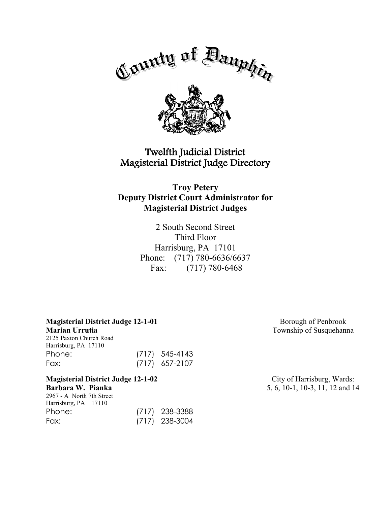

# Twelfth Judicial District Magisterial District Judge Directory

## **Troy Petery Deputy District Court Administrator for Magisterial District Judges**

2 South Second Street Third Floor Harrisburg, PA 17101 Phone: (717) 780-6636/6637 Fax: (717) 780-6468

**Magisterial District Judge 12-1-01 Marian Urrutia**

2125 Paxton Church Road Harrisburg, PA 17110 Phone: (717) 545-4143 Fax: (717) 657-2107

**Magisterial District Judge 12-1-02 Barbara W. Pianka** 2967 - A North 7th Street Harrisburg, PA 17110 Phone: (717) 238-3388 Fax: (717) 238-3004

Borough of Penbrook Township of Susquehanna

City of Harrisburg, Wards: 5, 6, 10-1, 10-3, 11, 12 and 14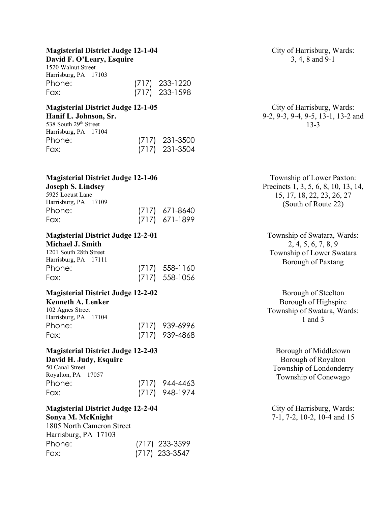## **Magisterial District Judge 12-1-04**

**David F. O'Leary, Esquire** 1520 Walnut Street Harrisburg, PA 17103 Phone: (717) 233-1220 Fax: (717) 233-1598

#### **Magisterial District Judge 12-1-05 Hanif L. Johnson, Sr.**

| 538 South 29th Street<br>Harrisburg, PA 17104 |                  |
|-----------------------------------------------|------------------|
| Phone:                                        | $(717)$ 231-3500 |
| Fax:                                          | $(717)$ 231-3504 |

**Magisterial District Judge 12-1-06**

#### **Joseph S. Lindsey** 5925 Locust Lane Harrisburg, PA 17109

| $T^2$ allisuulg, $\Gamma A$ 1/109 |  |                  |
|-----------------------------------|--|------------------|
| Phone:                            |  | $(717)$ 671-8640 |
| Fax:                              |  | (717) 671-1899   |

# **Magisterial District Judge 12-2-01**

## **Michael J. Smith**

| 1201 South 28th Street |                  |
|------------------------|------------------|
| Harrisburg, PA 17111   |                  |
| Phone:                 | $(717)$ 558-1160 |
| Fax:                   | $(717)$ 558-1056 |

## **Magisterial District Judge 12-2-02**

#### **Kenneth A. Lenker**

| 102 Agnes Street     |                  |
|----------------------|------------------|
| Harrisburg, PA 17104 |                  |
| Phone:               | $(717)$ 939-6996 |
| Fax:                 | $(717)$ 939-4868 |

### **Magisterial District Judge 12-2-03 David H. Judy, Esquire**

| 50 Canal Street    |                |
|--------------------|----------------|
| Royalton, PA 17057 |                |
| Phone:             | (717) 944-4463 |
| Fax:               | (717) 948-1974 |

#### **Magisterial District Judge 12-2-04 Sonya M. McKnight**

1805 North Cameron Street Harrisburg, PA 17103 Phone: (717) 233-3599 Fax: (717) 233-3547

City of Harrisburg, Wards: 3, 4, 8 and 9-1

#### City of Harrisburg, Wards: 9-2, 9-3, 9-4, 9-5, 13-1, 13-2 and 13-3

Township of Lower Paxton: Precincts 1, 3, 5, 6, 8, 10, 13, 14, 15, 17, 18, 22, 23, 26, 27 (South of Route 22)

Township of Swatara, Wards: 2, 4, 5, 6, 7, 8, 9 Township of Lower Swatara Borough of Paxtang

Borough of Steelton Borough of Highspire Township of Swatara, Wards: 1 and 3

Borough of Middletown Borough of Royalton Township of Londonderry Township of Conewago

City of Harrisburg, Wards: 7-1, 7-2, 10-2, 10-4 and 15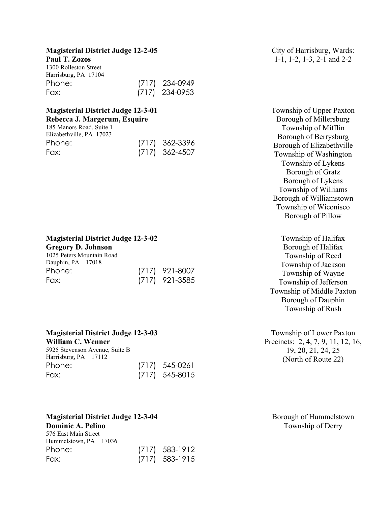#### **Magisterial District Judge 12-2-05**

#### **Paul T. Zozos**

| 1300 Rolleston Street |                  |
|-----------------------|------------------|
| Harrisburg, PA 17104  |                  |
| Phone:                | (717) 234-0949   |
| Fax:                  | $(717)$ 234-0953 |

#### **Magisterial District Judge 12-3-01 Rebecca J. Margerum, Esquire**

| 185 Manors Road, Suite 1 |                  |
|--------------------------|------------------|
| Elizabethville, PA 17023 |                  |
| Phone:                   | $(717)$ 362-3396 |
| Fax:                     | $(717)$ 362-4507 |

**Magisterial District Judge 12-3-02**

**Gregory D. Johnson** 1025 Peters Mountain Road Dauphin, PA

| Dauphin, PA 17018 |  |                  |
|-------------------|--|------------------|
| Phone:            |  | $(717)$ 921-8007 |
| Fax:              |  | $(717)$ 921-3585 |

#### **Magisterial District Judge 12-3-03**

**William C. Wenner** 5925 Stevenson Avenue, Suite B Harrisburg, PA 17112 Phone: (717) 545-0261 Fax: (717) 545-8015

## **Magisterial District Judge 12-3-04 Dominic A. Pelino**

576 East Main Street Hummelstown, PA 17036 Phone: (717) 583-1912 Fax: (717) 583-1915 City of Harrisburg, Wards: 1-1, 1-2, 1-3, 2-1 and 2-2

Township of Upper Paxton Borough of Millersburg Township of Mifflin Borough of Berrysburg Borough of Elizabethville Township of Washington Township of Lykens Borough of Gratz Borough of Lykens Township of Williams Borough of Williamstown Township of Wiconisco Borough of Pillow

Township of Halifax Borough of Halifax Township of Reed Township of Jackson Township of Wayne Township of Jefferson Township of Middle Paxton Borough of Dauphin Township of Rush

Township of Lower Paxton Precincts: 2, 4, 7, 9, 11, 12, 16, 19, 20, 21, 24, 25 (North of Route 22)

Borough of Hummelstown Township of Derry